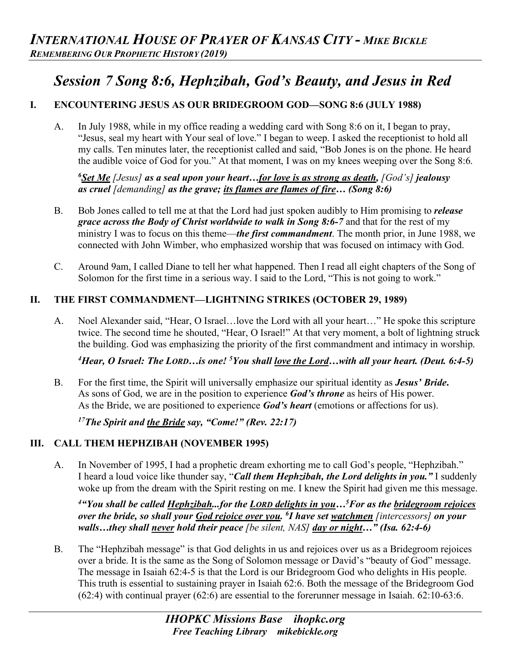# *Session 7 Song 8:6, Hephzibah, God's Beauty, and Jesus in Red*

# **I. ENCOUNTERING JESUS AS OUR BRIDEGROOM GOD—SONG 8:6 (JULY 1988)**

A. In July 1988, while in my office reading a wedding card with Song 8:6 on it, I began to pray, "Jesus, seal my heart with Your seal of love." I began to weep. I asked the receptionist to hold all my calls. Ten minutes later, the receptionist called and said, "Bob Jones is on the phone. He heard the audible voice of God for you." At that moment, I was on my knees weeping over the Song 8:6.

*6 Set Me [Jesus] as a seal upon your heart…for love is as strong as death, [God's] jealousy as cruel [demanding] as the grave; its flames are flames of fire… (Song 8:6)*

- B. Bob Jones called to tell me at that the Lord had just spoken audibly to Him promising to *release grace across the Body of Christ worldwide to walk in Song 8:6-7* and that for the rest of my ministry I was to focus on this theme—*the first commandment*. The month prior, in June 1988, we connected with John Wimber, who emphasized worship that was focused on intimacy with God.
- C. Around 9am, I called Diane to tell her what happened. Then I read all eight chapters of the Song of Solomon for the first time in a serious way. I said to the Lord, "This is not going to work."

## **II. THE FIRST COMMANDMENT—LIGHTNING STRIKES (OCTOBER 29, 1989)**

A. Noel Alexander said, "Hear, O Israel…love the Lord with all your heart…" He spoke this scripture twice. The second time he shouted, "Hear, O Israel!" At that very moment, a bolt of lightning struck the building. God was emphasizing the priority of the first commandment and intimacy in worship.

*4 Hear, O Israel: The LORD…is one! 5 You shall love the Lord…with all your heart. (Deut. 6:4-5)* 

B. For the first time, the Spirit will universally emphasize our spiritual identity as *Jesus' Bride***.**  As sons of God, we are in the position to experience *God's throne* as heirs of His power. As the Bride, we are positioned to experience *God's heart* (emotions or affections for us).

*17The Spirit and the Bride say, "Come!" (Rev. 22:17)* 

#### **III. CALL THEM HEPHZIBAH (NOVEMBER 1995)**

A. In November of 1995, I had a prophetic dream exhorting me to call God's people, "Hephzibah." I heard a loud voice like thunder say, "*Call them Hephzibah, the Lord delights in you."* I suddenly woke up from the dream with the Spirit resting on me. I knew the Spirit had given me this message.

*4"You shall be called Hephzibah...for the LORD delights in you…5 For as the bridegroom rejoices over the bride, so shall your God rejoice over you. 6 I have set watchmen [intercessors] on your walls…they shall never hold their peace [be silent, NAS] day or night…" (Isa. 62:4-6)* 

B. The "Hephzibah message" is that God delights in us and rejoices over us as a Bridegroom rejoices over a bride. It is the same as the Song of Solomon message or David's "beauty of God" message. The message in Isaiah 62:4-5 is that the Lord is our Bridegroom God who delights in His people. This truth is essential to sustaining prayer in Isaiah 62:6. Both the message of the Bridegroom God (62:4) with continual prayer (62:6) are essential to the forerunner message in Isaiah. 62:10-63:6.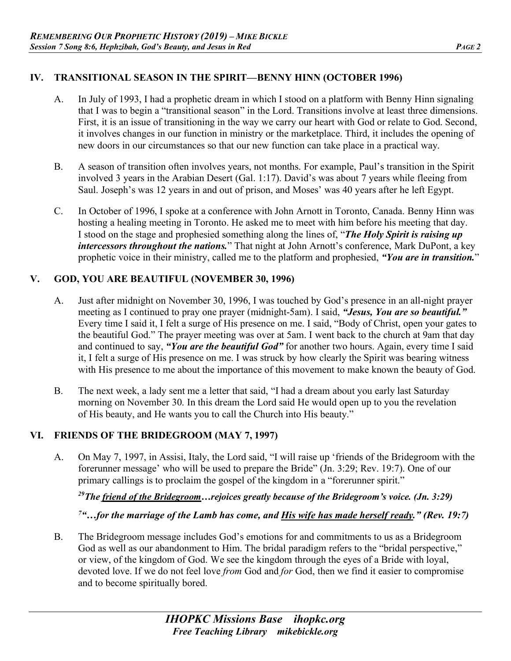#### **IV. TRANSITIONAL SEASON IN THE SPIRIT—BENNY HINN (OCTOBER 1996)**

- A. In July of 1993, I had a prophetic dream in which I stood on a platform with Benny Hinn signaling that I was to begin a "transitional season" in the Lord. Transitions involve at least three dimensions. First, it is an issue of transitioning in the way we carry our heart with God or relate to God. Second, it involves changes in our function in ministry or the marketplace. Third, it includes the opening of new doors in our circumstances so that our new function can take place in a practical way.
- B. A season of transition often involves years, not months. For example, Paul's transition in the Spirit involved 3 years in the Arabian Desert (Gal. 1:17). David's was about 7 years while fleeing from Saul. Joseph's was 12 years in and out of prison, and Moses' was 40 years after he left Egypt.
- C. In October of 1996, I spoke at a conference with John Arnott in Toronto, Canada. Benny Hinn was hosting a healing meeting in Toronto. He asked me to meet with him before his meeting that day. I stood on the stage and prophesied something along the lines of, "*The Holy Spirit is raising up intercessors throughout the nations.*" That night at John Arnott's conference, Mark DuPont, a key prophetic voice in their ministry, called me to the platform and prophesied, *"You are in transition.*"

#### **V. GOD, YOU ARE BEAUTIFUL (NOVEMBER 30, 1996)**

- A. Just after midnight on November 30, 1996, I was touched by God's presence in an all-night prayer meeting as I continued to pray one prayer (midnight-5am). I said, *"Jesus, You are so beautiful."* Every time I said it, I felt a surge of His presence on me. I said, "Body of Christ, open your gates to the beautiful God." The prayer meeting was over at 5am. I went back to the church at 9am that day and continued to say, *"You are the beautiful God"* for another two hours. Again, every time I said it, I felt a surge of His presence on me. I was struck by how clearly the Spirit was bearing witness with His presence to me about the importance of this movement to make known the beauty of God.
- B. The next week, a lady sent me a letter that said, "I had a dream about you early last Saturday morning on November 30. In this dream the Lord said He would open up to you the revelation of His beauty, and He wants you to call the Church into His beauty."

## **VI. FRIENDS OF THE BRIDEGROOM (MAY 7, 1997)**

A. On May 7, 1997, in Assisi, Italy, the Lord said, "I will raise up 'friends of the Bridegroom with the forerunner message' who will be used to prepare the Bride" (Jn. 3:29; Rev. 19:7). One of our primary callings is to proclaim the gospel of the kingdom in a "forerunner spirit."

*29The friend of the Bridegroom…rejoices greatly because of the Bridegroom's voice. (Jn. 3:29)* 

<sup>7</sup>"...for the marriage of the Lamb has come, and **His wife has made herself ready.**" (Rev. 19:7)

B. The Bridegroom message includes God's emotions for and commitments to us as a Bridegroom God as well as our abandonment to Him. The bridal paradigm refers to the "bridal perspective," or view, of the kingdom of God. We see the kingdom through the eyes of a Bride with loyal, devoted love. If we do not feel love *from* God and *for* God, then we find it easier to compromise and to become spiritually bored.